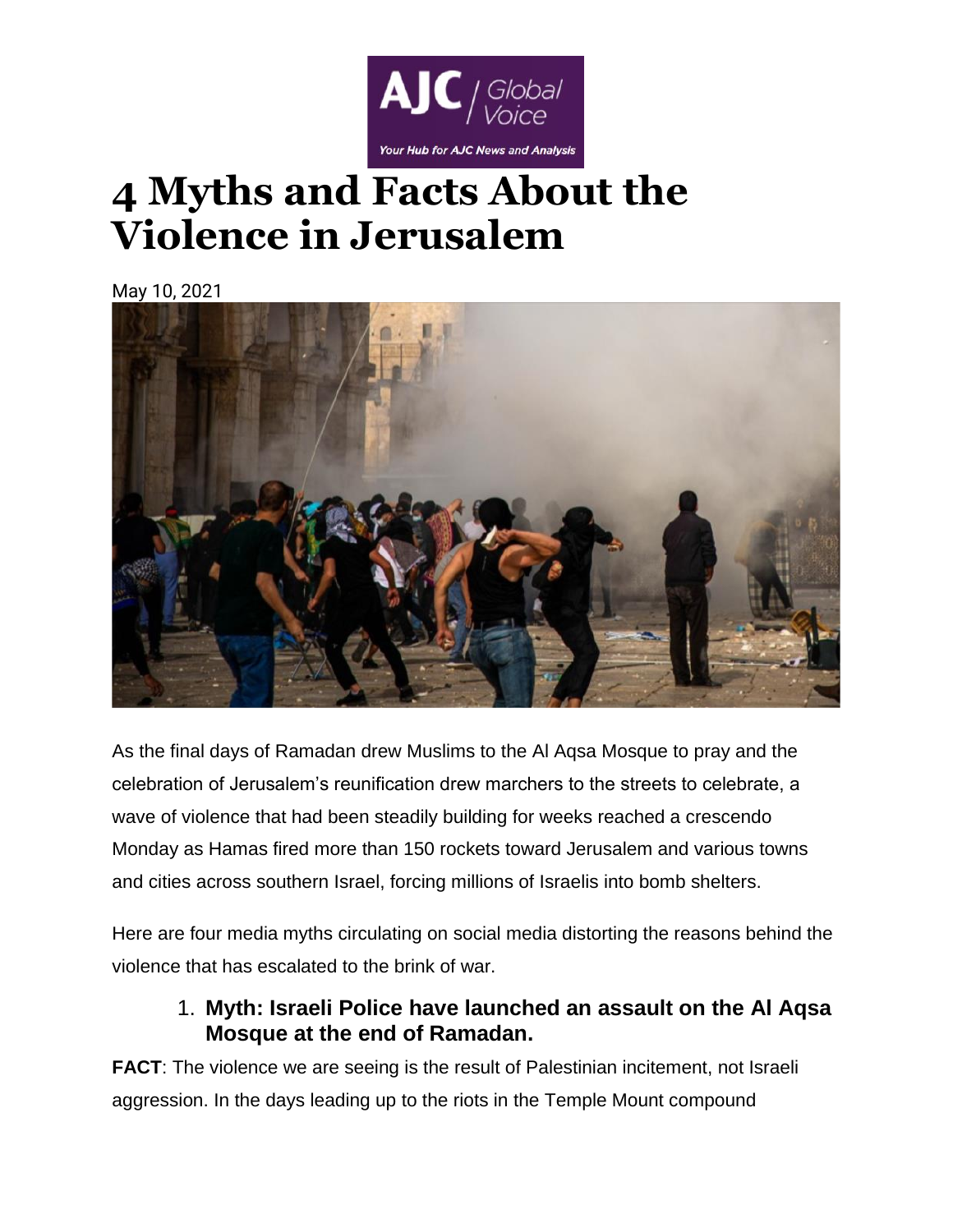

# **4 Myths and Facts About the Violence in Jerusalem**

May 10, 2021



As the final days of Ramadan drew Muslims to the Al Aqsa Mosque to pray and the celebration of Jerusalem's reunification drew marchers to the streets to celebrate, a wave of violence that had been steadily building for weeks reached a crescendo Monday as Hamas fired more than 150 rockets toward Jerusalem and various towns and cities across southern Israel, forcing millions of Israelis into bomb shelters.

Here are four media myths circulating on social media distorting the reasons behind the violence that has escalated to the brink of war.

## 1. **Myth: Israeli Police have launched an assault on the Al Aqsa Mosque at the end of Ramadan.**

**FACT:** The violence we are seeing is the result of Palestinian incitement, not Israeli aggression. In the days leading up to the riots in the Temple Mount compound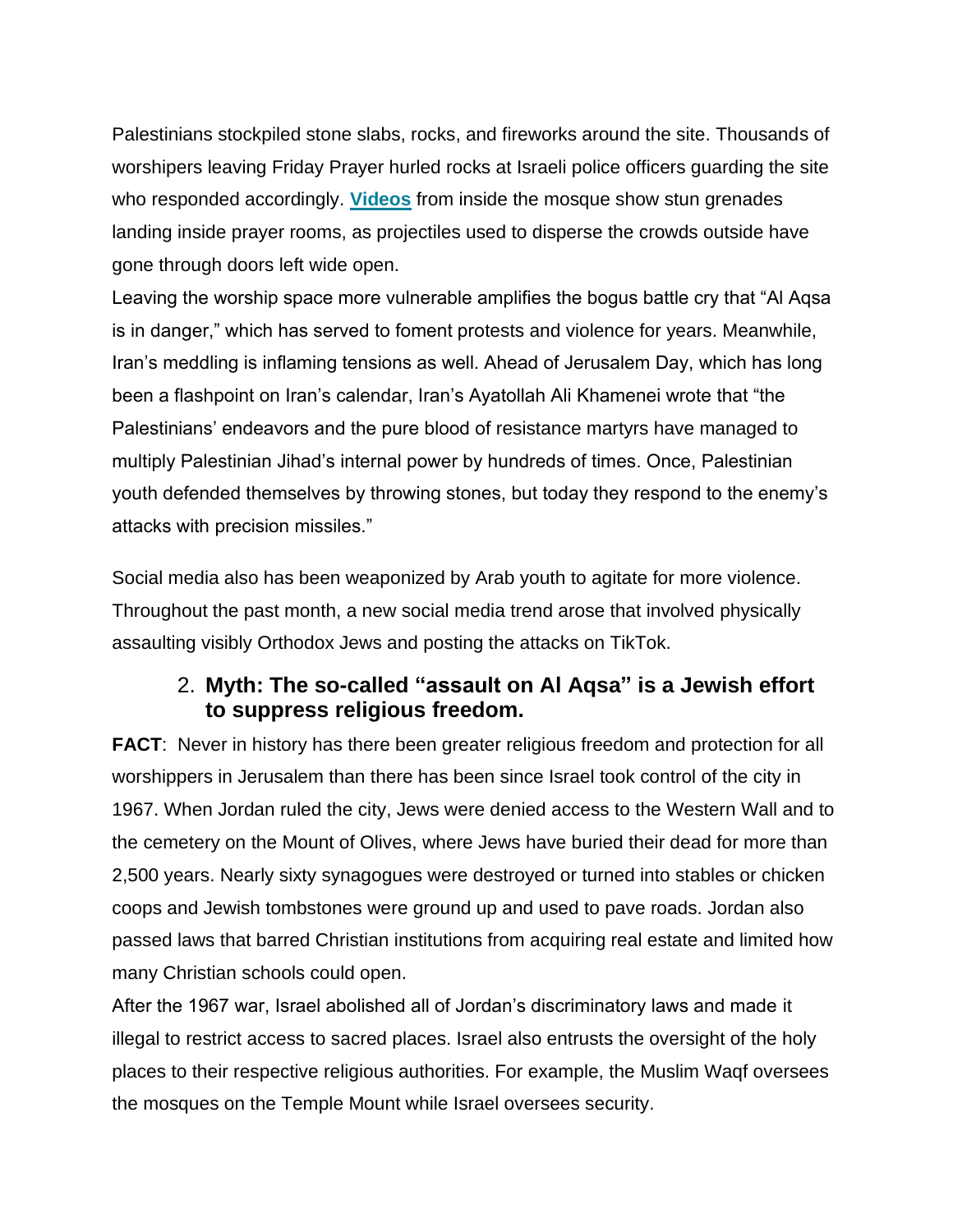Palestinians stockpiled stone slabs, rocks, and fireworks around the site. Thousands of worshipers leaving Friday Prayer hurled rocks at Israeli police officers guarding the site who responded accordingly. **[Videos](https://twitter.com/theIMEU/status/1390765408186212353?s=20)** from inside the mosque show stun grenades landing inside prayer rooms, as projectiles used to disperse the crowds outside have gone through doors left wide open.

Leaving the worship space more vulnerable amplifies the bogus battle cry that "Al Aqsa is in danger," which has served to foment protests and violence for years. Meanwhile, Iran's meddling is inflaming tensions as well. Ahead of Jerusalem Day, which has long been a flashpoint on Iran's calendar, Iran's Ayatollah Ali Khamenei wrote that "the Palestinians' endeavors and the pure blood of resistance martyrs have managed to multiply Palestinian Jihad's internal power by hundreds of times. Once, Palestinian youth defended themselves by throwing stones, but today they respond to the enemy's attacks with precision missiles."

Social media also has been weaponized by Arab youth to agitate for more violence. Throughout the past month, a new social media trend arose that involved physically assaulting visibly Orthodox Jews and posting the attacks on TikTok.

## 2. **Myth: The so-called "assault on Al Aqsa" is a Jewish effort to suppress religious freedom.**

**FACT:** Never in history has there been greater religious freedom and protection for all worshippers in Jerusalem than there has been since Israel took control of the city in 1967. When Jordan ruled the city, Jews were denied access to the Western Wall and to the cemetery on the Mount of Olives, where Jews have buried their dead for more than 2,500 years. Nearly sixty synagogues were destroyed or turned into stables or chicken coops and Jewish tombstones were ground up and used to pave roads. Jordan also passed laws that barred Christian institutions from acquiring real estate and limited how many Christian schools could open.

After the 1967 war, Israel abolished all of Jordan's discriminatory laws and made it illegal to restrict access to sacred places. Israel also entrusts the oversight of the holy places to their respective religious authorities. For example, the Muslim Waqf oversees the mosques on the Temple Mount while Israel oversees security.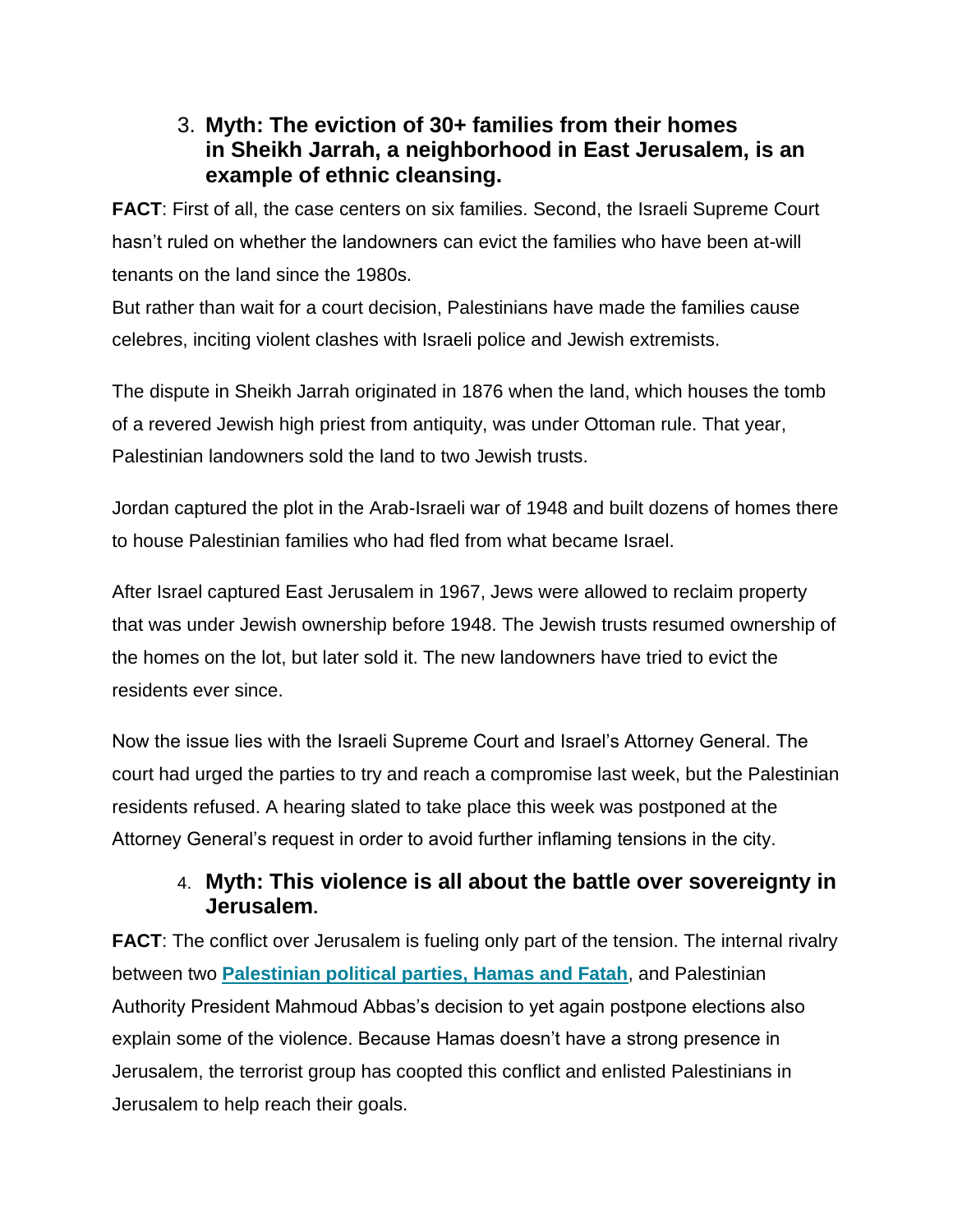### 3. **Myth: The eviction of 30+ families from their homes in Sheikh Jarrah, a neighborhood in East Jerusalem, is an example of ethnic cleansing.**

**FACT**: First of all, the case centers on six families. Second, the Israeli Supreme Court hasn't ruled on whether the landowners can evict the families who have been at-will tenants on the land since the 1980s.

But rather than wait for a court decision, Palestinians have made the families cause celebres, inciting violent clashes with Israeli police and Jewish extremists.

The dispute in Sheikh Jarrah originated in 1876 when the land, which houses the tomb of a revered Jewish high priest from antiquity, was under Ottoman rule. That year, Palestinian landowners sold the land to two Jewish trusts.

Jordan captured the plot in the Arab-Israeli war of 1948 and built dozens of homes there to house Palestinian families who had fled from what became Israel.

After Israel captured East Jerusalem in 1967, Jews were allowed to reclaim property that was under Jewish ownership before 1948. The Jewish trusts resumed ownership of the homes on the lot, but later sold it. The new landowners have tried to evict the residents ever since.

Now the issue lies with the Israeli Supreme Court and Israel's Attorney General. The court had urged the parties to try and reach a compromise last week, but the Palestinian residents refused. A hearing slated to take place this week was postponed at the Attorney General's request in order to avoid further inflaming tensions in the city.

### 4. **Myth: This violence is all about the battle over sovereignty in Jerusalem.**

**FACT:** The conflict over Jerusalem is fueling only part of the tension. The internal rivalry between two **[Palestinian political parties, Hamas and Fatah](https://www.ajc.org/news/what-hamas-is-hiding)**, and Palestinian Authority President Mahmoud Abbas's decision to yet again postpone elections also explain some of the violence. Because Hamas doesn't have a strong presence in Jerusalem, the terrorist group has coopted this conflict and enlisted Palestinians in Jerusalem to help reach their goals.